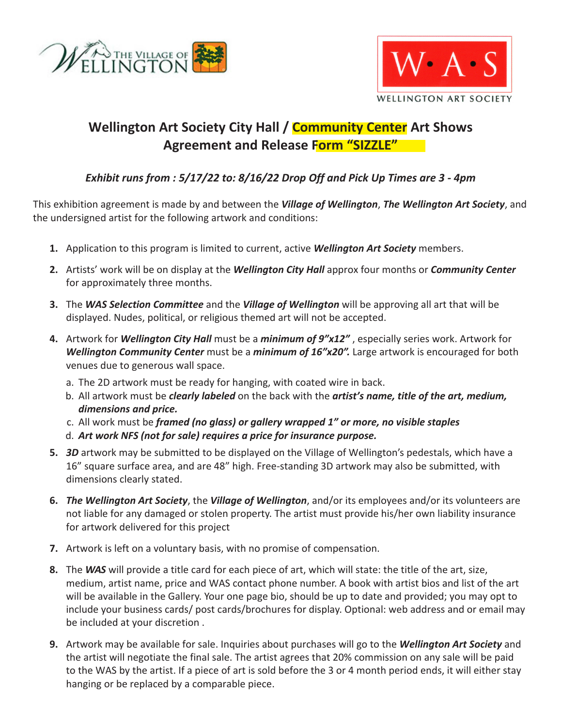



## **Wellington Art Society City Hall / Community Center Art Shows Agreement and Release Form "SIZZLE"**

## *Exhibit runs from : 5/17/22 to: 8/16/22 Drop Off and Pick Up Times are 3 - 4pm*

This exhibition agreement is made by and between the *Village of Wellington*, *The Wellington Art Society*, and the undersigned artist for the following artwork and conditions:

- **1.** Application to this program is limited to current, active *Wellington Art Society* members.
- **2.** Artists' work will be on display at the *Wellington City Hall* approx four months or *Community Center* for approximately three months.
- **3.** The *WAS Selection Committee* and the *Village of Wellington* will be approving all art that will be displayed. Nudes, political, or religious themed art will not be accepted.
- **4.** Artwork for *Wellington City Hall* must be a *minimum of 9"x12"* , especially series work. Artwork for *Wellington Community Center* must be a *minimum of 16"x20".* Large artwork is encouraged for both venues due to generous wall space.
	- a. The 2D artwork must be ready for hanging, with coated wire in back.
	- b. All artwork must be *clearly labeled* on the back with the *artist's name, title of the art, medium, dimensions and price.*
	- c. All work must be *framed (no glass) or gallery wrapped 1" or more, no visible staples*
	- d. *Art work NFS (not for sale) requires a price for insurance purpose.*
- **5.** *3D* artwork may be submitted to be displayed on the Village of Wellington's pedestals, which have a 16" square surface area, and are 48" high. Free-standing 3D artwork may also be submitted, with dimensions clearly stated.
- **6.** *The Wellington Art Society*, the *Village of Wellington*, and/or its employees and/or its volunteers are not liable for any damaged or stolen property. The artist must provide his/her own liability insurance for artwork delivered for this project
- **7.** Artwork is left on a voluntary basis, with no promise of compensation.
- **8.** The *WAS* will provide a title card for each piece of art, which will state: the title of the art, size, medium, artist name, price and WAS contact phone number. A book with artist bios and list of the art will be available in the Gallery. Your one page bio, should be up to date and provided; you may opt to include your business cards/ post cards/brochures for display. Optional: web address and or email may be included at your discretion .
- **9.** Artwork may be available for sale. Inquiries about purchases will go to the *Wellington Art Society* and the artist will negotiate the final sale. The artist agrees that 20% commission on any sale will be paid to the WAS by the artist. If a piece of art is sold before the 3 or 4 month period ends, it will either stay hanging or be replaced by a comparable piece.